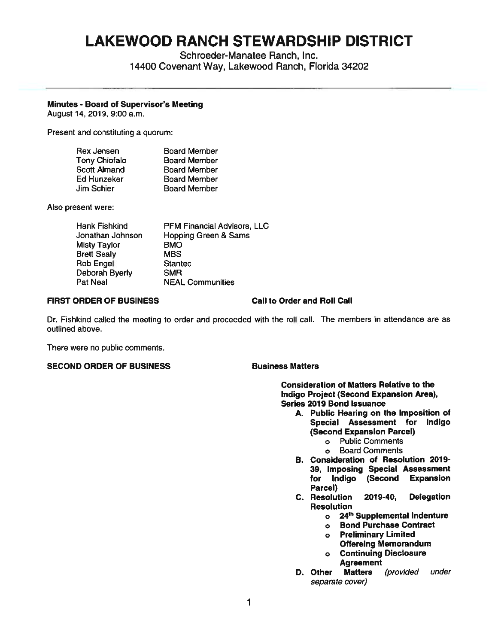# **LAKEWOOD RANCH STEWARDSHIP DISTRICT**

Schroeder-Manatee Ranch, Inc. 14400 Covenant Way, Lakewood Ranch, Florida 34202

# **Minutes** - **Board of Supervisor's Meeting**

August 14, 2019, 9:00 a.m.

Present and constituting a quorum:

| <b>Rex Jensen</b>    | <b>Board Member</b> |
|----------------------|---------------------|
| <b>Tony Chiofalo</b> | <b>Board Member</b> |
| <b>Scott Almand</b>  | <b>Board Member</b> |
| Ed Hunzeker          | <b>Board Member</b> |
| Jim Schier           | <b>Board Member</b> |

Also present were:

| Hank Fishkind      | PFM Financial Advisors, LLC     |
|--------------------|---------------------------------|
| Jonathan Johnson   | <b>Hopping Green &amp; Sams</b> |
| Misty Taylor       | BMO                             |
| <b>Brett Sealy</b> | <b>MBS</b>                      |
| Rob Engel          | <b>Stantec</b>                  |
| Deborah Byerly     | <b>SMR</b>                      |
| Pat Neal           | <b>NEAL Communities</b>         |
|                    |                                 |

## **FIRST ORDER OF BUSINESS Call to Order and Roll Call**

Dr. Fishkind called the meeting to order and proceeded with the roll call. The members in attendance are as outlined above.

There were no public comments.

# **SECOND ORDER OF BUSINESS SECOND ARRIVING BUSINESS**

**Consideration of Matters Relative to the Indigo Project (Second Expansion Area), Series 2019 Bond Issuance** 

- **A. Public Hearing on the Imposition of Special Assessment for Indigo (Second Expansion Parcel)** 
	- o Public Comments
	- o Board Comments
- **B. Consideration of Resolution 2019- 39, Imposing Special Assessment for Indigo (Second Expansion Parcel)**
- **C. Resolution 2019-40, Delegation Resolution** 
	- <sup>o</sup>**24th Supplemental Indenture**
	- <sup>o</sup>**Bond Purchase Contract**
	- <sup>o</sup>**Preliminary Limited Offereing Memorandum**
	- <sup>o</sup>**Continuing Disclosure Agreement**
- **D. Other Matters** (provided under separate cover)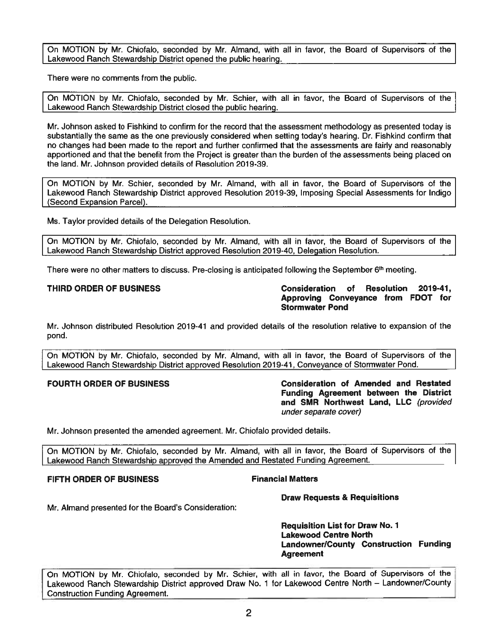On MOTION by Mr. Chiofalo, seconded by Mr. Almand, with all in favor, the Board of Supervisors of the Lakewood Ranch Stewardship District opened the public hearing.

There were no comments from the public.

On MOTION by Mr. Chiofalo, seconded by Mr. Schier, with all in favor, the Board of Supervisors of the Lakewood Ranch Stewardship District closed the public hearing.

Mr. Johnson asked to Fishkind to confirm for the record that the assessment methodology as presented today is substantially the same as the one previously considered when setting today's hearing. Dr. Fishkind confirm that no changes had been made to the report and further confirmed that the assessments are fairly and reasonably apportioned and that the benefit from the Project is greater than the burden of the assessments being placed on the land. Mr. Johnson provided details of Resolution 2019-39.

On MOTION by Mr. Schier, seconded by Mr. Almand, with all in favor, the Board of Supervisors of the Lakewood Ranch Stewardship District approved Resolution 2019-39, Imposing Special Assessments for Indigo (Second Exoansion Parcel).

Ms. Taylor provided details of the Delegation Resolution.

On MOTION by Mr. Chiofalo, seconded by Mr. Almand, with all in favor, the Board of Supervisors of the Lakewood Ranch Stewardship District approved Resolution 2019-40, Delegation Resolution.

There **were** no other matters to discuss. Pre-closing is anticipated following the September 6th meeting.

**THIRD ORDER OF BUSINESS Consideration of Resolution 2019-41, Approving Conveyance from FOOT for Stormwater Pond** 

Mr. Johnson distributed Resolution 2019-41 and provided details of the resolution relative to expansion of the pond.

On MOTION by Mr. Chiofalo, seconded by Mr. Almand, with all in favor, the Board of Supervisors of the Lakewood Ranch Stewardship District approved Resolution 2019-41, Conveyance of Stormwater Pond.

**FOURTH ORDER OF BUSINESS Consideration of Amended and Restated Funding Agreement between the District and SMR Northwest Land, LLC** (provided under separate cover)

Mr. Johnson presented the amended agreement. Mr. Chiofalo provided details.

On MOTION by Mr. Chiofalo, seconded by Mr. Almand, with all in favor, the Board of Supervisors of the Lakewood Ranch Stewardship approved the Amended and Restated Funding Agreement.

## **FIFTH ORDER OF BUSINESS FINANCIAL FINANCIAL Matters**

**Draw Requests & Requisitions** 

Mr. Almand presented for the Board's Consideration:

**Requisition List for Draw No. 1 Lakewood Centre North Landowner/County Construction Funding Agreement** 

On MOTION by Mr. Chiofalo, seconded by Mr. Schier, with all in favor, the Board of Supervisors of the Lakewood Ranch Stewardship District approved Draw No. 1 for Lakewood Centre North - Landowner/County Construction Funding Agreement.